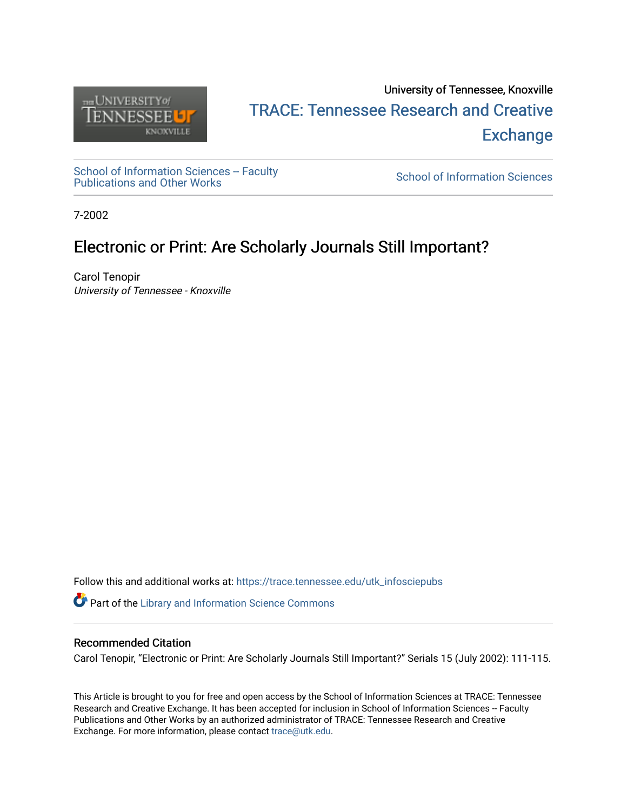

# University of Tennessee, Knoxville TRACE: T[ennessee Research and Cr](https://trace.tennessee.edu/)eative **Exchange**

School of Information Sciences -- Faculty School of Information Sciences -- Faculty<br>[Publications and Other Works](https://trace.tennessee.edu/utk_infosciepubs) School of Information Sciences

7-2002

# Electronic or Print: Are Scholarly Journals Still Important?

Carol Tenopir University of Tennessee - Knoxville

Follow this and additional works at: [https://trace.tennessee.edu/utk\\_infosciepubs](https://trace.tennessee.edu/utk_infosciepubs?utm_source=trace.tennessee.edu%2Futk_infosciepubs%2F147&utm_medium=PDF&utm_campaign=PDFCoverPages) 

Part of the [Library and Information Science Commons](https://network.bepress.com/hgg/discipline/1018?utm_source=trace.tennessee.edu%2Futk_infosciepubs%2F147&utm_medium=PDF&utm_campaign=PDFCoverPages) 

## Recommended Citation

Carol Tenopir, "Electronic or Print: Are Scholarly Journals Still Important?" Serials 15 (July 2002): 111-115.

This Article is brought to you for free and open access by the School of Information Sciences at TRACE: Tennessee Research and Creative Exchange. It has been accepted for inclusion in School of Information Sciences -- Faculty Publications and Other Works by an authorized administrator of TRACE: Tennessee Research and Creative Exchange. For more information, please contact [trace@utk.edu](mailto:trace@utk.edu).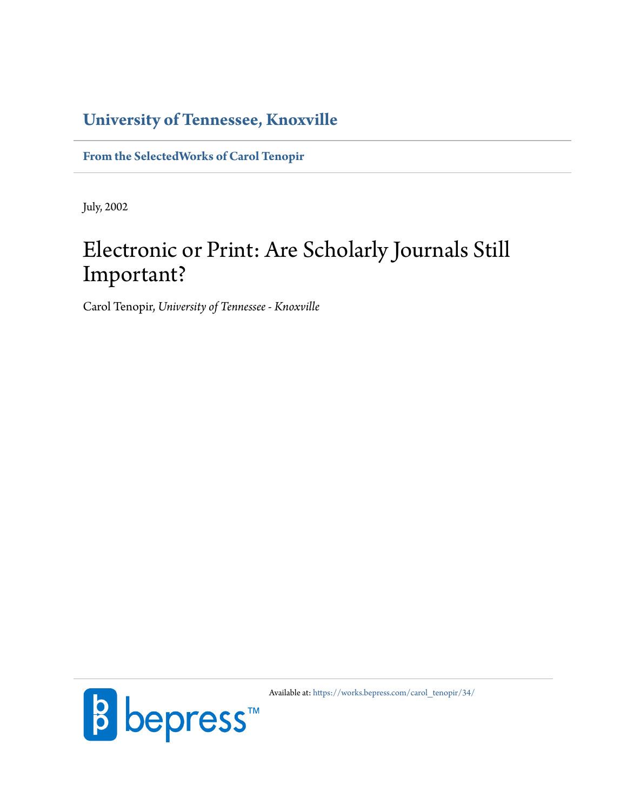# **[University of Tennessee, Knoxville](http://www.utk.edu/)**

**[From the SelectedWorks of Carol Tenopir](https://works.bepress.com/carol_tenopir/)**

July, 2002

# Electronic or Print: Are Scholarly Journals Still Important?

Carol Tenopir, *University of Tennessee - Knoxville*



Available at: [https://works.bepress.com/carol\\_tenopir/34/](https://works.bepress.com/carol_tenopir/34/)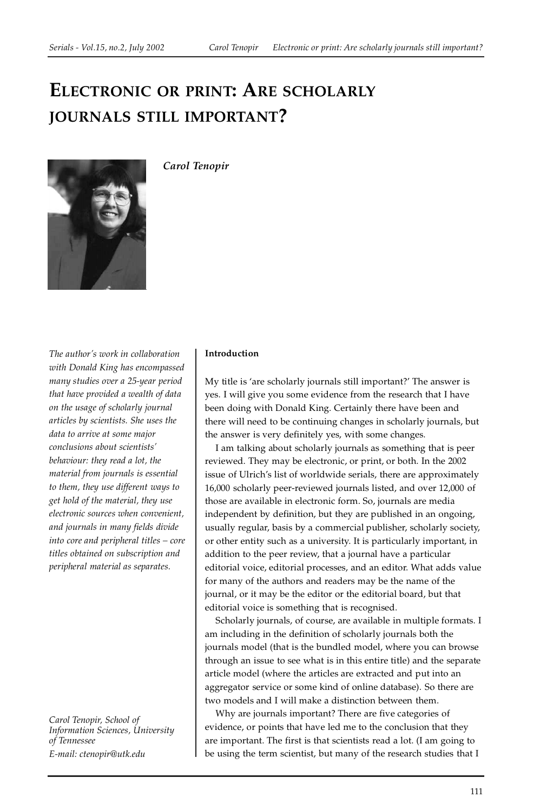# **ELECTRONIC OR PRINT: ARE SCHOLARLY JOURNALS STILL IMPORTANT?**



*Carol Tenopir*

*The author's work in collaboration with Donald King has encompassed many studies over a 25-year period that have provided a wealth of data on the usage of scholarly journal articles by scientists. She uses the data to arrive at some major conclusions about scientists' behaviour: they read a lot, the material from journals is essential to them, they use different ways to get hold of the material, they use electronic sources when convenient, and journals in many fields divide into core and peripheral titles – core titles obtained on subscription and peripheral material as separates.*

*Carol Tenopir, School of Information Sciences, University of Tennessee E-mail: ctenopir@utk.edu*

#### **Introduction**

My title is 'are scholarly journals still important?' The answer is yes. I will give you some evidence from the research that I have been doing with Donald King. Certainly there have been and there will need to be continuing changes in scholarly journals, but the answer is very definitely yes, with some changes.

I am talking about scholarly journals as something that is peer reviewed. They may be electronic, or print, or both. In the 2002 issue of Ulrich's list of worldwide serials, there are approximately 16,000 scholarly peer-reviewed journals listed, and over 12,000 of those are available in electronic form. So, journals are media independent by definition, but they are published in an ongoing, usually regular, basis by a commercial publisher, scholarly society, or other entity such as a university. It is particularly important, in addition to the peer review, that a journal have a particular editorial voice, editorial processes, and an editor. What adds value for many of the authors and readers may be the name of the journal, or it may be the editor or the editorial board, but that editorial voice is something that is recognised.

Scholarly journals, of course, are available in multiple formats. I am including in the definition of scholarly journals both the journals model (that is the bundled model, where you can browse through an issue to see what is in this entire title) and the separate article model (where the articles are extracted and put into an aggregator service or some kind of online database). So there are two models and I will make a distinction between them.

Why are journals important? There are five categories of evidence, or points that have led me to the conclusion that they are important. The first is that scientists read a lot. (I am going to be using the term scientist, but many of the research studies that I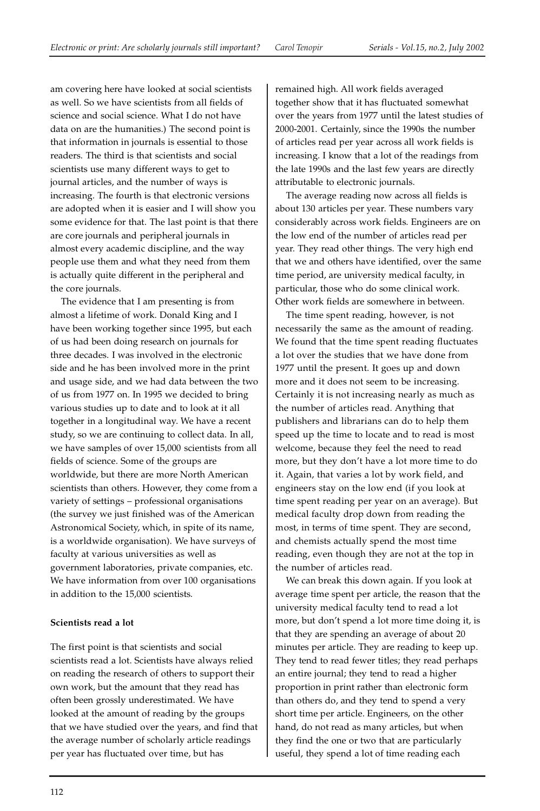am covering here have looked at social scientists as well. So we have scientists from all fields of science and social science. What I do not have data on are the humanities.) The second point is that information in journals is essential to those readers. The third is that scientists and social scientists use many different ways to get to journal articles, and the number of ways is increasing. The fourth is that electronic versions are adopted when it is easier and I will show you some evidence for that. The last point is that there are core journals and peripheral journals in almost every academic discipline, and the way people use them and what they need from them is actually quite different in the peripheral and the core journals.

The evidence that I am presenting is from almost a lifetime of work. Donald King and I have been working together since 1995, but each of us had been doing research on journals for three decades. I was involved in the electronic side and he has been involved more in the print and usage side, and we had data between the two of us from 1977 on. In 1995 we decided to bring various studies up to date and to look at it all together in a longitudinal way. We have a recent study, so we are continuing to collect data. In all, we have samples of over 15,000 scientists from all fields of science. Some of the groups are worldwide, but there are more North American scientists than others. However, they come from a variety of settings – professional organisations (the survey we just finished was of the American Astronomical Society, which, in spite of its name, is a worldwide organisation). We have surveys of faculty at various universities as well as government laboratories, private companies, etc. We have information from over 100 organisations in addition to the 15,000 scientists.

# **Scientists read a lot**

The first point is that scientists and social scientists read a lot. Scientists have always relied on reading the research of others to support their own work, but the amount that they read has often been grossly underestimated. We have looked at the amount of reading by the groups that we have studied over the years, and find that the average number of scholarly article readings per year has fluctuated over time, but has

remained high. All work fields averaged together show that it has fluctuated somewhat over the years from 1977 until the latest studies of 2000-2001. Certainly, since the 1990s the number of articles read per year across all work fields is increasing. I know that a lot of the readings from the late 1990s and the last few years are directly attributable to electronic journals.

The average reading now across all fields is about 130 articles per year. These numbers vary considerably across work fields. Engineers are on the low end of the number of articles read per year. They read other things. The very high end that we and others have identified, over the same time period, are university medical faculty, in particular, those who do some clinical work. Other work fields are somewhere in between.

The time spent reading, however, is not necessarily the same as the amount of reading. We found that the time spent reading fluctuates a lot over the studies that we have done from 1977 until the present. It goes up and down more and it does not seem to be increasing. Certainly it is not increasing nearly as much as the number of articles read. Anything that publishers and librarians can do to help them speed up the time to locate and to read is most welcome, because they feel the need to read more, but they don't have a lot more time to do it. Again, that varies a lot by work field, and engineers stay on the low end (if you look at time spent reading per year on an average). But medical faculty drop down from reading the most, in terms of time spent. They are second, and chemists actually spend the most time reading, even though they are not at the top in the number of articles read.

We can break this down again. If you look at average time spent per article, the reason that the university medical faculty tend to read a lot more, but don't spend a lot more time doing it, is that they are spending an average of about 20 minutes per article. They are reading to keep up. They tend to read fewer titles; they read perhaps an entire journal; they tend to read a higher proportion in print rather than electronic form than others do, and they tend to spend a very short time per article. Engineers, on the other hand, do not read as many articles, but when they find the one or two that are particularly useful, they spend a lot of time reading each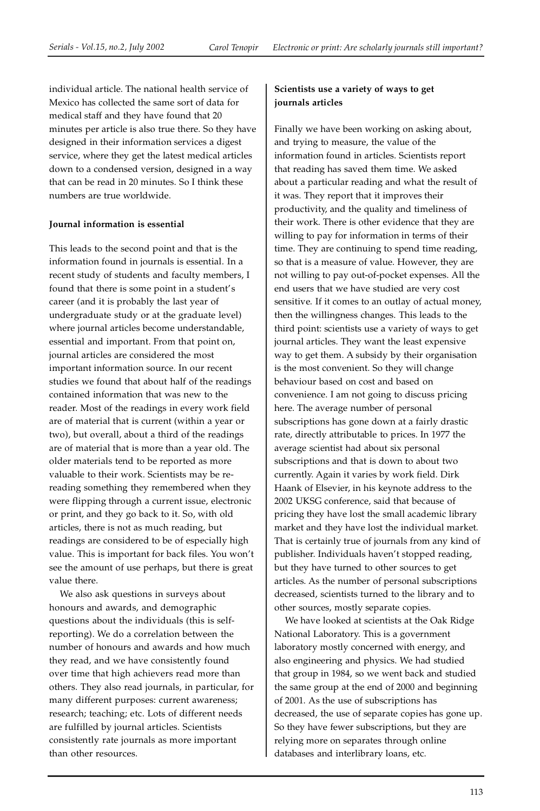individual article. The national health service of Mexico has collected the same sort of data for medical staff and they have found that 20 minutes per article is also true there. So they have designed in their information services a digest service, where they get the latest medical articles down to a condensed version, designed in a way that can be read in 20 minutes. So I think these numbers are true worldwide.

## **Journal information is essential**

This leads to the second point and that is the information found in journals is essential. In a recent study of students and faculty members, I found that there is some point in a student's career (and it is probably the last year of undergraduate study or at the graduate level) where journal articles become understandable, essential and important. From that point on, journal articles are considered the most important information source. In our recent studies we found that about half of the readings contained information that was new to the reader. Most of the readings in every work field are of material that is current (within a year or two), but overall, about a third of the readings are of material that is more than a year old. The older materials tend to be reported as more valuable to their work. Scientists may be rereading something they remembered when they were flipping through a current issue, electronic or print, and they go back to it. So, with old articles, there is not as much reading, but readings are considered to be of especially high value. This is important for back files. You won't see the amount of use perhaps, but there is great value there.

We also ask questions in surveys about honours and awards, and demographic questions about the individuals (this is selfreporting). We do a correlation between the number of honours and awards and how much they read, and we have consistently found over time that high achievers read more than others. They also read journals, in particular, for many different purposes: current awareness; research; teaching; etc. Lots of different needs are fulfilled by journal articles. Scientists consistently rate journals as more important than other resources.

## **Scientists use a variety of ways to get journals articles**

Finally we have been working on asking about, and trying to measure, the value of the information found in articles. Scientists report that reading has saved them time. We asked about a particular reading and what the result of it was. They report that it improves their productivity, and the quality and timeliness of their work. There is other evidence that they are willing to pay for information in terms of their time. They are continuing to spend time reading, so that is a measure of value. However, they are not willing to pay out-of-pocket expenses. All the end users that we have studied are very cost sensitive. If it comes to an outlay of actual money, then the willingness changes. This leads to the third point: scientists use a variety of ways to get journal articles. They want the least expensive way to get them. A subsidy by their organisation is the most convenient. So they will change behaviour based on cost and based on convenience. I am not going to discuss pricing here. The average number of personal subscriptions has gone down at a fairly drastic rate, directly attributable to prices. In 1977 the average scientist had about six personal subscriptions and that is down to about two currently. Again it varies by work field. Dirk Haank of Elsevier, in his keynote address to the 2002 UKSG conference, said that because of pricing they have lost the small academic library market and they have lost the individual market. That is certainly true of journals from any kind of publisher. Individuals haven't stopped reading, but they have turned to other sources to get articles. As the number of personal subscriptions decreased, scientists turned to the library and to other sources, mostly separate copies.

We have looked at scientists at the Oak Ridge National Laboratory. This is a government laboratory mostly concerned with energy, and also engineering and physics. We had studied that group in 1984, so we went back and studied the same group at the end of 2000 and beginning of 2001. As the use of subscriptions has decreased, the use of separate copies has gone up. So they have fewer subscriptions, but they are relying more on separates through online databases and interlibrary loans, etc.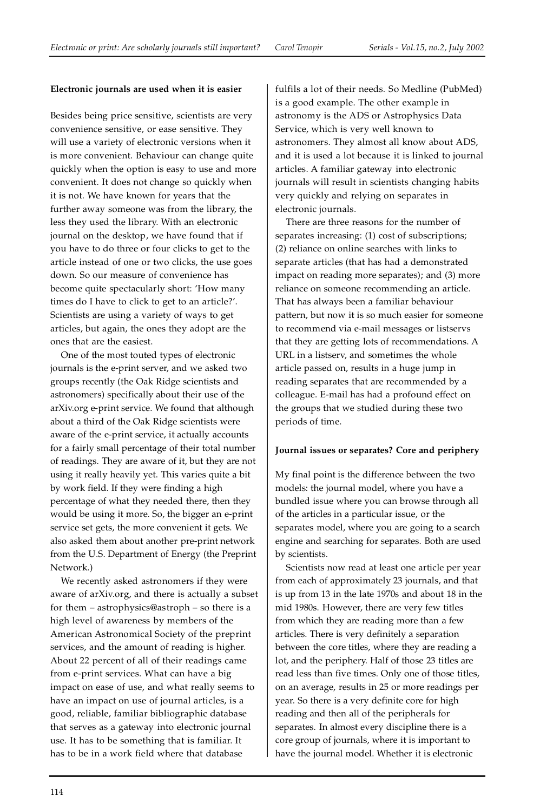## **Electronic journals are used when it is easier**

Besides being price sensitive, scientists are very convenience sensitive, or ease sensitive. They will use a variety of electronic versions when it is more convenient. Behaviour can change quite quickly when the option is easy to use and more convenient. It does not change so quickly when it is not. We have known for years that the further away someone was from the library, the less they used the library. With an electronic journal on the desktop, we have found that if you have to do three or four clicks to get to the article instead of one or two clicks, the use goes down. So our measure of convenience has become quite spectacularly short: 'How many times do I have to click to get to an article?'. Scientists are using a variety of ways to get articles, but again, the ones they adopt are the ones that are the easiest.

One of the most touted types of electronic journals is the e-print server, and we asked two groups recently (the Oak Ridge scientists and astronomers) specifically about their use of the arXiv.org e-print service. We found that although about a third of the Oak Ridge scientists were aware of the e-print service, it actually accounts for a fairly small percentage of their total number of readings. They are aware of it, but they are not using it really heavily yet. This varies quite a bit by work field. If they were finding a high percentage of what they needed there, then they would be using it more. So, the bigger an e-print service set gets, the more convenient it gets. We also asked them about another pre-print network from the U.S. Department of Energy (the Preprint Network.)

We recently asked astronomers if they were aware of arXiv.org, and there is actually a subset for them – astrophysics@astroph – so there is a high level of awareness by members of the American Astronomical Society of the preprint services, and the amount of reading is higher. About 22 percent of all of their readings came from e-print services. What can have a big impact on ease of use, and what really seems to have an impact on use of journal articles, is a good, reliable, familiar bibliographic database that serves as a gateway into electronic journal use. It has to be something that is familiar. It has to be in a work field where that database

fulfils a lot of their needs. So Medline (PubMed) is a good example. The other example in astronomy is the ADS or Astrophysics Data Service, which is very well known to astronomers. They almost all know about ADS, and it is used a lot because it is linked to journal articles. A familiar gateway into electronic journals will result in scientists changing habits very quickly and relying on separates in electronic journals.

There are three reasons for the number of separates increasing: (1) cost of subscriptions; (2) reliance on online searches with links to separate articles (that has had a demonstrated impact on reading more separates); and (3) more reliance on someone recommending an article. That has always been a familiar behaviour pattern, but now it is so much easier for someone to recommend via e-mail messages or listservs that they are getting lots of recommendations. A URL in a listserv, and sometimes the whole article passed on, results in a huge jump in reading separates that are recommended by a colleague. E-mail has had a profound effect on the groups that we studied during these two periods of time.

## **Journal issues or separates? Core and periphery**

My final point is the difference between the two models: the journal model, where you have a bundled issue where you can browse through all of the articles in a particular issue, or the separates model, where you are going to a search engine and searching for separates. Both are used by scientists.

Scientists now read at least one article per year from each of approximately 23 journals, and that is up from 13 in the late 1970s and about 18 in the mid 1980s. However, there are very few titles from which they are reading more than a few articles. There is very definitely a separation between the core titles, where they are reading a lot, and the periphery. Half of those 23 titles are read less than five times. Only one of those titles, on an average, results in 25 or more readings per year. So there is a very definite core for high reading and then all of the peripherals for separates. In almost every discipline there is a core group of journals, where it is important to have the journal model. Whether it is electronic